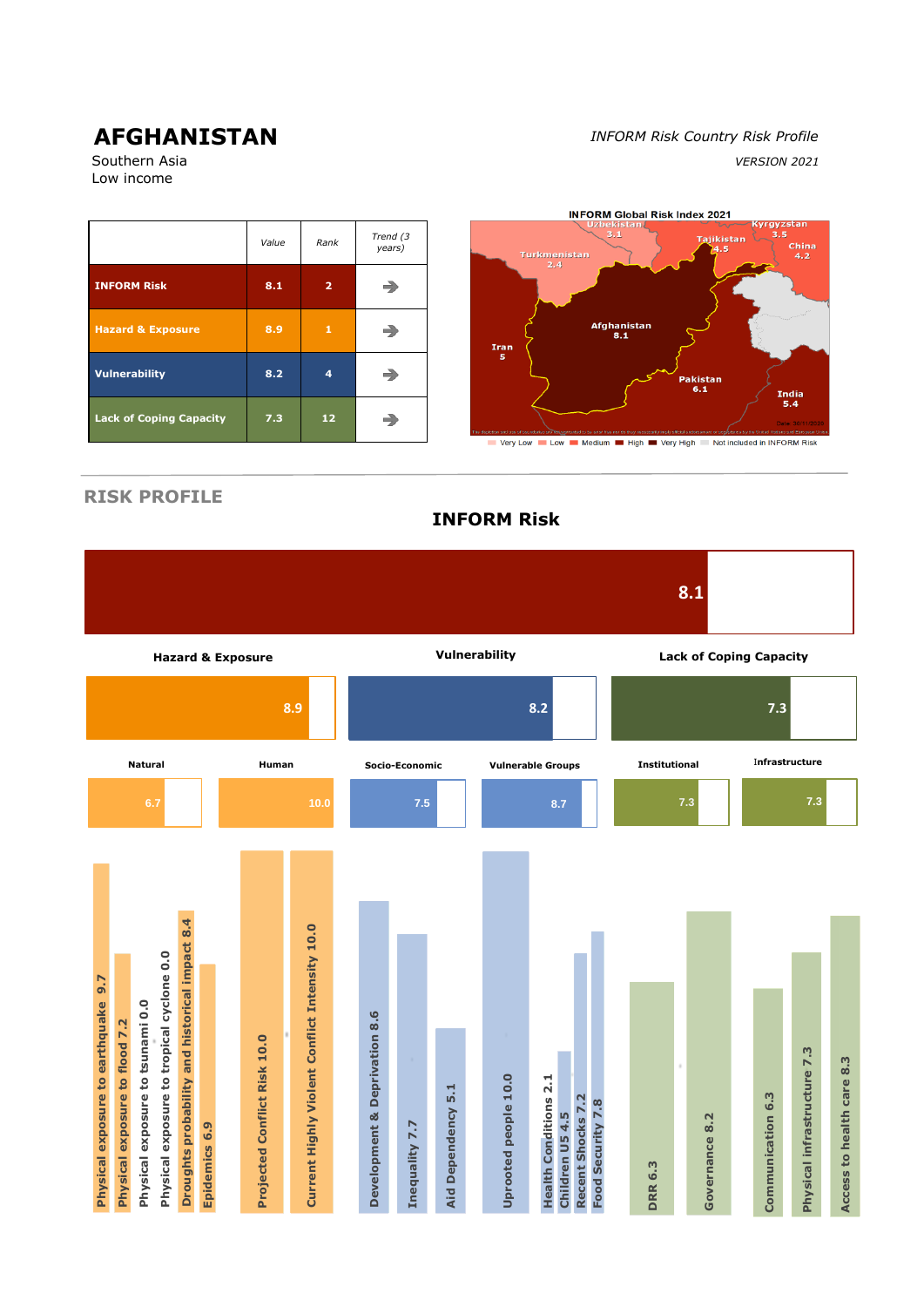Low income

# **AFGHANISTAN** *INFORM Risk Country Risk Profile* Southern Asia *VERSION 2021*



**RISK PROFILE**

**8.1 Vulnerability Lack of Coping Capacity Hazard & Exposure 8.9 8.2 7.3 Natural Human Socio-Economic Vulnerable Groups Institutional** <sup>I</sup>**nfrastructure 6.7 10.0 7.5 8.7 7.3 7.3 Droughts probability and historical impact 8.4 Droughts probability and historical impact 8.4** Current Highly Violent Conflict Intensity 10.0 **Current Highly Violent Conflict Intensity 10.0** Physical exposure to tropical cyclone 0.0 **Physical exposure to tropical cyclone 0.0** Physical exposure to earthquake 9.7 **Physical exposure to earthquake 9.7** Physical exposure to tsunami 0.0 **Physical exposure to tsunami 0.0 Development & Deprivation 8.6 Development & Deprivation 8.6** Physical exposure to flood 7.2 **Physical exposure to flood 7.2** Projected Conflict Risk 10.0 **Projected Conflict Risk 10.0** Physical infrastructure 7.3 **Physical infrastructure 7.3** Access to health care 8.3 **Access to health care 8.3** Uprooted people 10.0 **Health Conditions 2.1 Uprooted people 10.0 Health Conditions 2.1** Dependency 5.1 **Aid Dependency 5.1** Recent Shocks 7.2 Communication 6.3 **Communication 6.3 Recent Shocks 7.2** Children U5 4.5 Food Security 7.8 **Food Security 7.8** Governance 8.2 **Children U5 4.5 Governance 8.2** Epidemics 6.9 Inequality 7.7 **Epidemics 6.9 Inequality 7.7 DRR 6.3** Aid

**INFORM Risk**